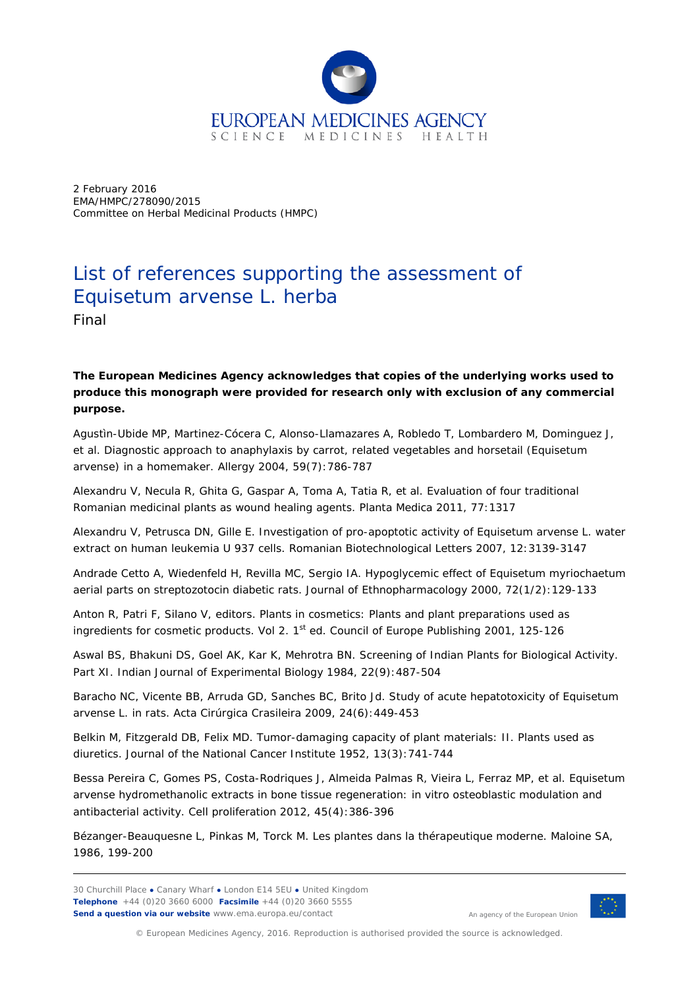

2 February 2016 EMA/HMPC/278090/2015 Committee on Herbal Medicinal Products (HMPC)

## List of references supporting the assessment of *Equisetum arvense* L. herba

Final

## **The European Medicines Agency acknowledges that copies of the underlying works used to produce this monograph were provided for research only with exclusion of any commercial purpose.**

Agustìn-Ubide MP, Martinez-Cócera C, Alonso-Llamazares A, Robledo T, Lombardero M, Dominguez J, *et al.* Diagnostic approach to anaphylaxis by carrot, related vegetables and horsetail (*Equisetum arvense*) in a homemaker. *Allergy* 2004, 59(7):786-787

Alexandru V, Necula R, Ghita G, Gaspar A, Toma A, Tatia R, *et al.* Evaluation of four traditional Romanian medicinal plants as wound healing agents. *Planta Medica* 2011, 77:1317

Alexandru V, Petrusca DN, Gille E. Investigation of pro-apoptotic activity of *Equisetum arvense* L. water extract on human leukemia U 937 cells. *Romanian Biotechnological Letters* 2007, 12:3139-3147

Andrade Cetto A, Wiedenfeld H, Revilla MC, Sergio IA. Hypoglycemic effect of *Equisetum myriochaetum* aerial parts on streptozotocin diabetic rats*. Journal of Ethnopharmacology* 2000, 72(1/2):129-133

Anton R, Patri F, Silano V, editors. Plants in cosmetics: Plants and plant preparations used as ingredients for cosmetic products. Vol 2.  $1<sup>st</sup>$  ed. Council of Europe Publishing 2001, 125-126

Aswal BS, Bhakuni DS, Goel AK, Kar K, Mehrotra BN. Screening of Indian Plants for Biological Activity. Part XI. *Indian Journal of Experimental Biology* 1984, 22(9):487-504

Baracho NC, Vicente BB, Arruda GD, Sanches BC, Brito Jd. Study of acute hepatotoxicity of *Equisetum arvense* L. in rats. *Acta Cirúrgica Crasileira* 2009, 24(6):449-453

Belkin M, Fitzgerald DB, Felix MD. Tumor-damaging capacity of plant materials: II. Plants used as diuretics. *Journal of the National Cancer Institute* 1952, 13(3):741-744

Bessa Pereira C, Gomes PS, Costa-Rodriques J, Almeida Palmas R, Vieira L, Ferraz MP, *et al. Equisetum arvense* hydromethanolic extracts in bone tissue regeneration: in vitro osteoblastic modulation and antibacterial activity. *Cell proliferation* 2012, 45(4):386-396

Bézanger-Beauquesne L, Pinkas M, Torck M. Les plantes dans la thérapeutique moderne. Maloine SA, 1986, 199-200



An agency of the European Union

© European Medicines Agency, 2016. Reproduction is authorised provided the source is acknowledged.

<sup>30</sup> Churchill Place **●** Canary Wharf **●** London E14 5EU **●** United Kingdom **Telephone** +44 (0)20 3660 6000 **Facsimile** +44 (0)20 3660 5555 **Send a question via our website** www.ema.europa.eu/contact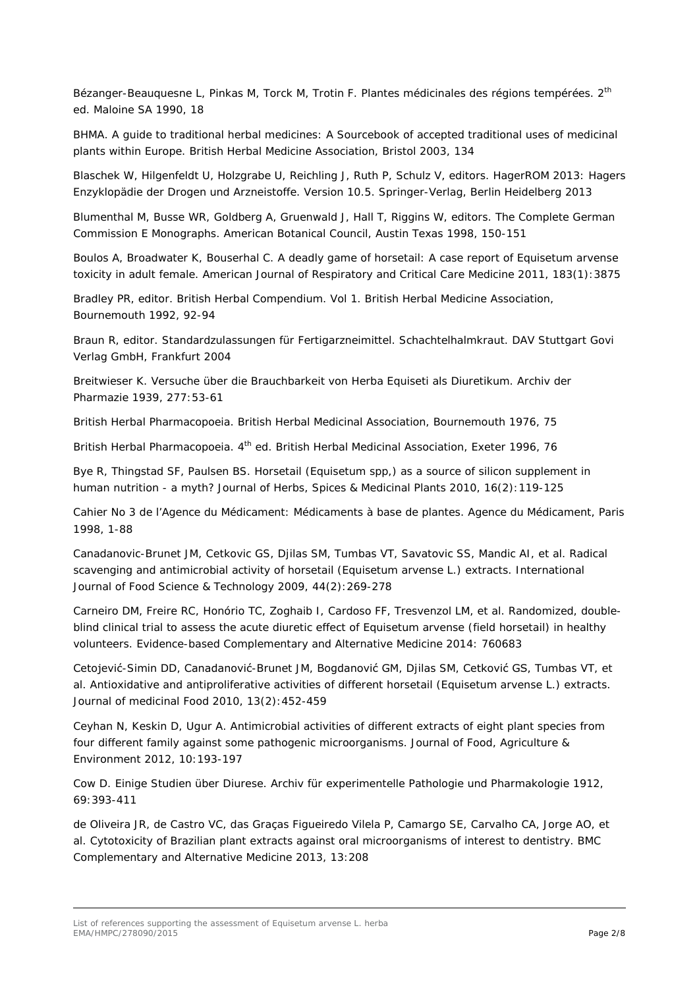Bézanger-Beauquesne L, Pinkas M, Torck M, Trotin F. Plantes médicinales des régions tempérées. 2<sup>th</sup> ed. Maloine SA 1990, 18

BHMA. A guide to traditional herbal medicines: A Sourcebook of accepted traditional uses of medicinal plants within Europe. British Herbal Medicine Association, Bristol 2003, 134

Blaschek W, Hilgenfeldt U, Holzgrabe U, Reichling J, Ruth P, Schulz V, editors. HagerROM 2013: Hagers Enzyklopädie der Drogen und Arzneistoffe. Version 10.5. Springer-Verlag, Berlin Heidelberg 2013

Blumenthal M, Busse WR, Goldberg A, Gruenwald J, Hall T, Riggins W, editors. The Complete German Commission E Monographs. American Botanical Council, Austin Texas 1998, 150-151

Boulos A, Broadwater K, Bouserhal C. A deadly game of horsetail: A case report of *Equisetum arvense* toxicity in adult female. *American Journal of Respiratory and Critical Care Medicine* 2011, 183(1):3875

Bradley PR, editor. British Herbal Compendium. Vol 1. British Herbal Medicine Association, Bournemouth 1992, 92-94

Braun R, editor. Standardzulassungen für Fertigarzneimittel. Schachtelhalmkraut. DAV Stuttgart Govi Verlag GmbH, Frankfurt 2004

Breitwieser K. Versuche über die Brauchbarkeit von Herba Equiseti als Diuretikum. *Archiv der Pharmazie* 1939, 277:53-61

British Herbal Pharmacopoeia. British Herbal Medicinal Association, Bournemouth 1976, 75

British Herbal Pharmacopoeia. 4<sup>th</sup> ed. British Herbal Medicinal Association, Exeter 1996, 76

Bye R, Thingstad SF, Paulsen BS. Horsetail (*Equisetum* spp,) as a source of silicon supplement in human nutrition - a myth*? Journal of Herbs, Spices & Medicinal Plants* 2010, 16(2):119-125

Cahier No 3 de l'Agence du Médicament: Médicaments à base de plantes. Agence du Médicament, Paris 1998, 1-88

Canadanovic-Brunet JM, Cetkovic GS, Djilas SM, Tumbas VT, Savatovic SS, Mandic AI, *et al.* Radical scavenging and antimicrobial activity of horsetail (*Equisetum arvense* L.) extracts. *International Journal of Food Science & Technology* 2009, 44(2):269-278

Carneiro DM, Freire RC, Honório TC, Zoghaib I, Cardoso FF, Tresvenzol LM, *et al.* Randomized, doubleblind clinical trial to assess the acute diuretic effect of *Equisetum arvense* (field horsetail) in healthy volunteers. *Evidence-based Complementary and Alternative Medicine* 2014: 760683

Cetojević-Simin DD, Canadanović-Brunet JM, Bogdanović GM, Djilas SM, Cetković GS, Tumbas VT, *et al.* Antioxidative and antiproliferative activities of different horsetail (*Equisetum arvense* L.) extracts. *Journal of medicinal Food* 2010, 13(2):452-459

Ceyhan N, Keskin D, Ugur A. Antimicrobial activities of different extracts of eight plant species from four different family against some pathogenic microorganisms. *Journal of Food, Agriculture & Environment* 2012, 10:193-197

Cow D. Einige Studien über Diurese. *Archiv für experimentelle Pathologie und Pharmakologie* 1912, 69:393-411

de Oliveira JR, de Castro VC, das Graças Figueiredo Vilela P, Camargo SE, Carvalho CA, Jorge AO, *et al.* Cytotoxicity of Brazilian plant extracts against oral microorganisms of interest to dentistry. *BMC Complementary and Alternative Medicine* 2013, 13:208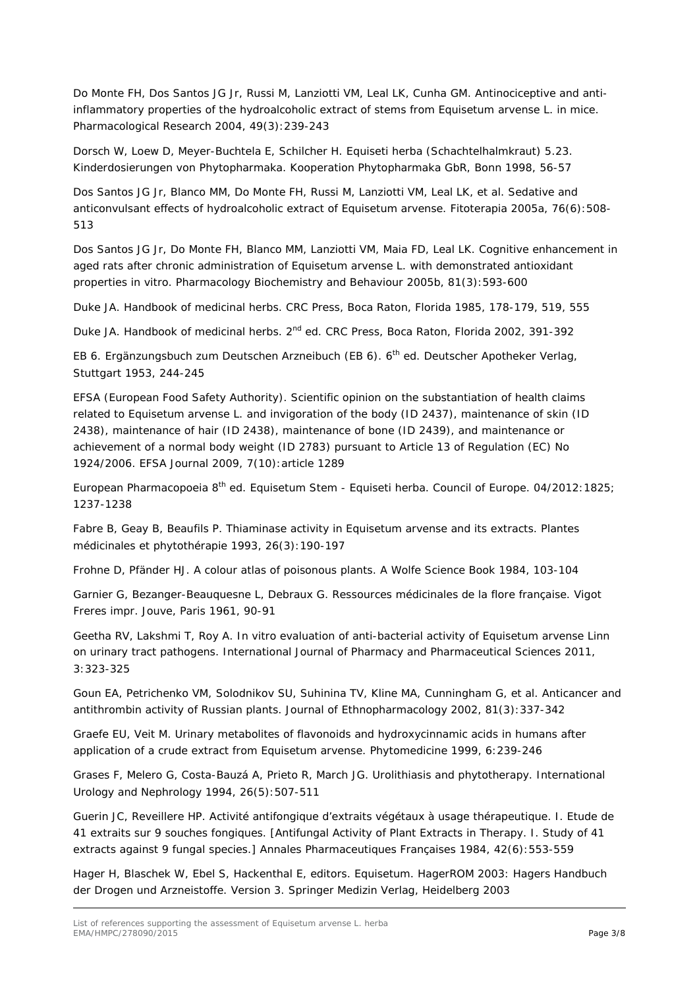Do Monte FH, Dos Santos JG Jr, Russi M, Lanziotti VM, Leal LK, Cunha GM. Antinociceptive and antiinflammatory properties of the hydroalcoholic extract of stems from *Equisetum arvense* L. in mice. *Pharmacological Research* 2004, 49(3):239-243

Dorsch W, Loew D, Meyer-Buchtela E, Schilcher H. Equiseti herba (Schachtelhalmkraut) 5.23. Kinderdosierungen von Phytopharmaka. Kooperation Phytopharmaka GbR, Bonn 1998, 56-57

Dos Santos JG Jr, Blanco MM, Do Monte FH, Russi M, Lanziotti VM, Leal LK, *et al.* Sedative and anticonvulsant effects of hydroalcoholic extract of *Equisetum arvense. Fitoterapia* 2005a, 76(6):508- 513

Dos Santos JG Jr, Do Monte FH, Blanco MM, Lanziotti VM, Maia FD, Leal LK. Cognitive enhancement in aged rats after chronic administration *of Equisetum arvense* L. with demonstrated antioxidant properties in vitro. *Pharmacology Biochemistry and Behaviour* 2005b, 81(3):593-600

Duke JA. Handbook of medicinal herbs. CRC Press, Boca Raton, Florida 1985, 178-179, 519, 555

Duke JA. Handbook of medicinal herbs. 2<sup>nd</sup> ed. CRC Press, Boca Raton, Florida 2002, 391-392

EB 6. Ergänzungsbuch zum Deutschen Arzneibuch (EB 6). 6<sup>th</sup> ed. Deutscher Apotheker Verlag, Stuttgart 1953, 244-245

EFSA (European Food Safety Authority). Scientific opinion on the substantiation of health claims related to *Equisetum arvense* L. and invigoration of the body (ID 2437), maintenance of skin (ID 2438), maintenance of hair (ID 2438), maintenance of bone (ID 2439), and maintenance or achievement of a normal body weight (ID 2783) pursuant to Article 13 of Regulation (EC) No 1924/2006. EFSA Journal 2009, 7(10):article 1289

European Pharmacopoeia 8<sup>th</sup> ed. Equisetum Stem - Equiseti herba. Council of Europe. 04/2012:1825; 1237-1238

Fabre B, Geay B, Beaufils P. Thiaminase activity in *Equisetum arvense* and its extracts. *Plantes médicinales et phytothérapie* 1993, 26(3):190-197

Frohne D, Pfänder HJ. A colour atlas of poisonous plants. A Wolfe Science Book 1984, 103-104

Garnier G, Bezanger-Beauquesne L, Debraux G. Ressources médicinales de la flore française. Vigot Freres impr. Jouve, Paris 1961, 90-91

Geetha RV, Lakshmi T, Roy A. In vitro evaluation of anti-bacterial activity of *Equisetum arvense* Linn on urinary tract pathogens. *International Journal of Pharmacy and Pharmaceutical Sciences* 2011, 3:323-325

Goun EA, Petrichenko VM, Solodnikov SU, Suhinina TV, Kline MA, Cunningham G, *et al.* Anticancer and antithrombin activity of Russian plants. *Journal of Ethnopharmacology* 2002, 81(3):337-342

Graefe EU, Veit M. Urinary metabolites of flavonoids and hydroxycinnamic acids in humans after application of a crude extract from *Equisetum arvense*. *Phytomedicine* 1999, 6:239-246

Grases F, Melero G, Costa-Bauzá A, Prieto R, March JG. Urolithiasis and phytotherapy*. International Urology and Nephrology* 1994, 26(5):507-511

Guerin JC, Reveillere HP. Activité antifongique d'extraits végétaux à usage thérapeutique. I. Etude de 41 extraits sur 9 souches fongiques. [Antifungal Activity of Plant Extracts in Therapy. I. Study of 41 extracts against 9 fungal species.] *Annales Pharmaceutiques Françaises* 1984, 42(6):553-559

Hager H, Blaschek W, Ebel S, Hackenthal E, editors. Equisetum. HagerROM 2003: Hagers Handbuch der Drogen und Arzneistoffe. Version 3. Springer Medizin Verlag, Heidelberg 2003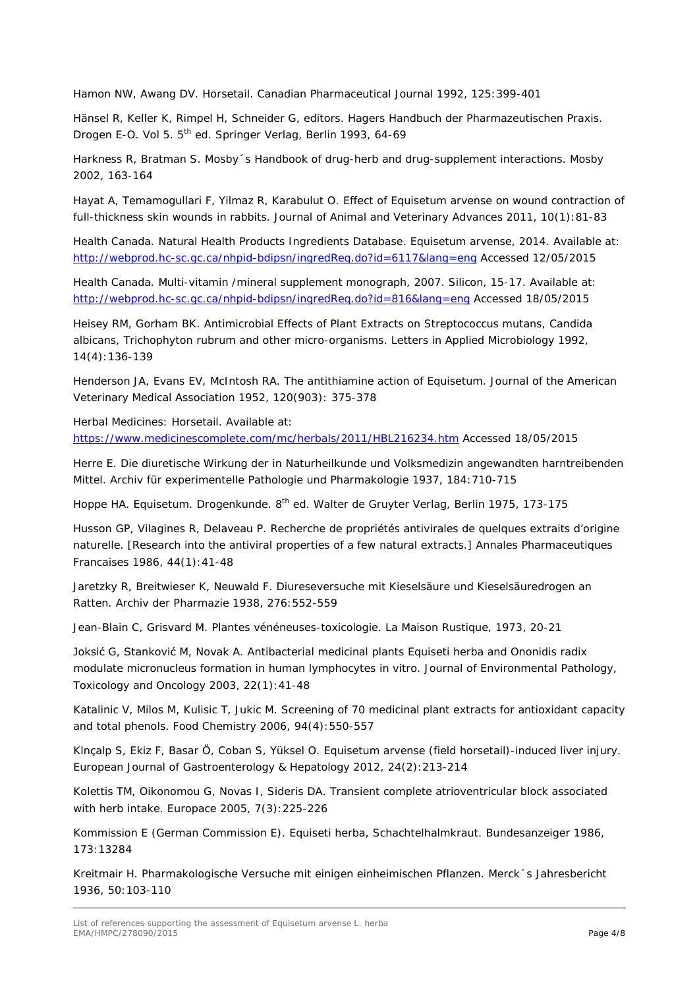Hamon NW, Awang DV. Horsetail. *Canadian Pharmaceutical Journal* 1992, 125:399-401

Hänsel R, Keller K, Rimpel H, Schneider G, editors. Hagers Handbuch der Pharmazeutischen Praxis. Drogen E-O. Vol 5. 5<sup>th</sup> ed. Springer Verlag, Berlin 1993, 64-69

Harkness R, Bratman S. Mosby´s Handbook of drug-herb and drug-supplement interactions. Mosby 2002, 163-164

Hayat A, Temamogullari F, Yilmaz R, Karabulut O. Effect of *Equisetum arvense* on wound contraction of full-thickness skin wounds in rabbits. *Journal of Animal and Veterinary Advances* 2011, 10(1):81-83

Health Canada. Natural Health Products Ingredients Database. *Equisetum arvense*, 2014. Available at: <http://webprod.hc-sc.gc.ca/nhpid-bdipsn/ingredReq.do?id=6117&lang=eng> Accessed 12/05/2015

Health Canada. Multi-vitamin /mineral supplement monograph, 2007. Silicon, 15-17. Available at: <http://webprod.hc-sc.gc.ca/nhpid-bdipsn/ingredReq.do?id=816&lang=eng> Accessed 18/05/2015

Heisey RM, Gorham BK. Antimicrobial Effects of Plant Extracts on *Streptococcus mutans*, *Candida albicans*, *Trichophyton rubrum* and other micro-organisms. *Letters in Applied Microbiology* 1992, 14(4):136-139

Henderson JA, Evans EV, McIntosh RA. The antithiamine action of *Equisetum*. *Journal of the American Veterinary Medical Association* 1952, 120(903): 375-378

Herbal Medicines: Horsetail. Available at: <https://www.medicinescomplete.com/mc/herbals/2011/HBL216234.htm> Accessed 18/05/2015

Herre E. Die diuretische Wirkung der in Naturheilkunde und Volksmedizin angewandten harntreibenden Mittel. *Archiv für experimentelle Pathologie und Pharmakologie* 1937, 184:710-715

Hoppe HA. Equisetum. Drogenkunde. 8<sup>th</sup> ed. Walter de Gruyter Verlag, Berlin 1975, 173-175

Husson GP, Vilagines R, Delaveau P. Recherche de propriétés antivirales de quelques extraits d'origine naturelle. [Research into the antiviral properties of a few natural extracts.] *Annales Pharmaceutiques Francaises* 1986, 44(1):41-48

Jaretzky R, Breitwieser K, Neuwald F. Diureseversuche mit Kieselsäure und Kieselsäuredrogen an Ratten. *Archiv der Pharmazie* 1938, 276:552-559

Jean-Blain C, Grisvard M. Plantes vénéneuses-toxicologie. La Maison Rustique, 1973, 20-21

Joksić G, Stanković M, Novak A. Antibacterial medicinal plants Equiseti herba and Ononidis radix modulate micronucleus formation in human lymphocytes in vitro. *Journal of Environmental Pathology, Toxicology and Oncology* 2003, 22(1):41-48

Katalinic V, Milos M, Kulisic T, Jukic M. Screening of 70 medicinal plant extracts for antioxidant capacity and total phenols. *Food Chemistry* 2006, 94(4):550-557

Klnçalp S, Ekiz F, Basar Ö, Coban S, Yüksel O. *Equisetum arvense* (field horsetail)-induced liver injury. *European Journal of Gastroenterology & Hepatology* 2012, 24(2):213-214

Kolettis TM, Oikonomou G, Novas I, Sideris DA. Transient complete atrioventricular block associated with herb intake. *Europace* 2005, 7(3):225-226

Kommission E (German Commission E). Equiseti herba, Schachtelhalmkraut. *Bundesanzeiger* 1986, 173:13284

Kreitmair H. Pharmakologische Versuche mit einigen einheimischen Pflanzen. *Merck´s Jahresbericht* 1936, 50:103-110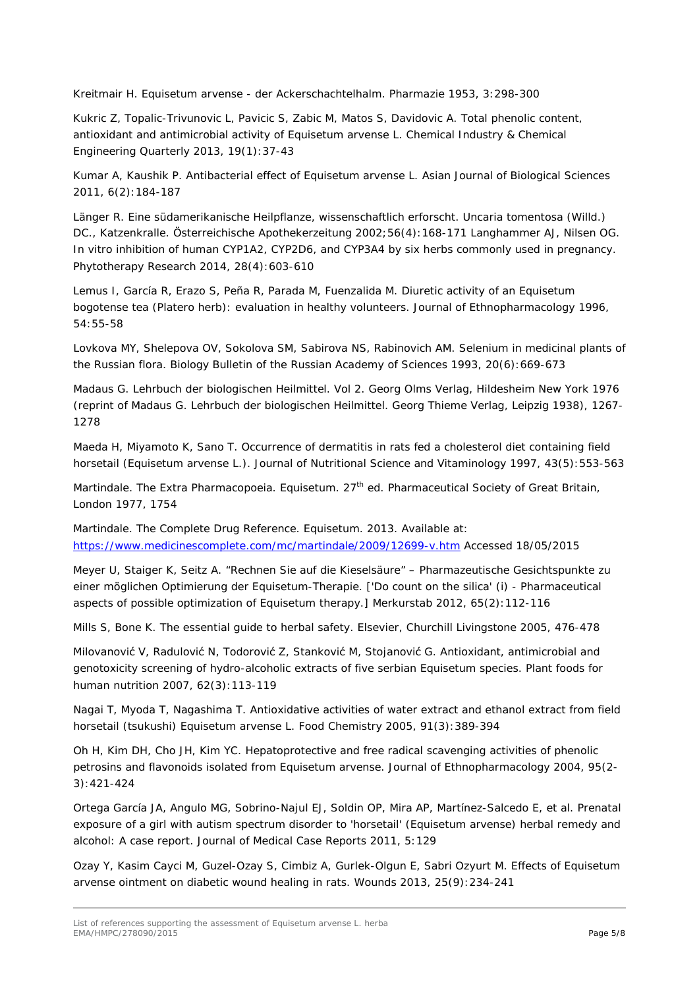Kreitmair H. *Equisetum arvense* - der Ackerschachtelhalm. *Pharmazie* 1953, 3:298-300

Kukric Z, Topalic-Trivunovic L, Pavicic S, Zabic M, Matos S, Davidovic A. Total phenolic content, antioxidant and antimicrobial activity of *Equisetum arvense* L. *Chemical Industry & Chemical Engineering Quarterly* 2013, 19(1):37-43

Kumar A, Kaushik P. Antibacterial effect of *Equisetum arvense* L. *Asian Journal of Biological Sciences* 2011*,* 6(2):184-187

Länger R. Eine südamerikanische Heilpflanze, wissenschaftlich erforscht. Uncaria tomentosa (Willd.) DC., Katzenkralle. *Österreichische Apothekerzeitung* 2002;56(4):168-171 Langhammer AJ, Nilsen OG. In vitro inhibition of human CYP1A2, CYP2D6, and CYP3A4 by six herbs commonly used in pregnancy*. Phytotherapy Research* 2014, 28(4):603-610

Lemus I, García R, Erazo S, Peña R, Parada M, Fuenzalida M. Diuretic activity of an *Equisetum bogotense* tea (Platero herb): evaluation in healthy volunteers*. Journal of Ethnopharmacology* 1996, 54:55-58

Lovkova MY, Shelepova OV, Sokolova SM, Sabirova NS, Rabinovich AM. Selenium in medicinal plants of the Russian flora. *Biology Bulletin of the Russian Academy of Sciences* 1993, 20(6):669-673

Madaus G. Lehrbuch der biologischen Heilmittel. Vol 2. Georg Olms Verlag, Hildesheim New York 1976 (reprint of Madaus G. Lehrbuch der biologischen Heilmittel. Georg Thieme Verlag, Leipzig 1938), 1267- 1278

Maeda H, Miyamoto K, Sano T. Occurrence of dermatitis in rats fed a cholesterol diet containing field horsetail (*Equisetum arvense* L.). *Journal of Nutritional Science and Vitaminology* 1997, 43(5):553-563

Martindale. The Extra Pharmacopoeia. Equisetum. 27<sup>th</sup> ed. Pharmaceutical Society of Great Britain, London 1977, 1754

Martindale. The Complete Drug Reference. Equisetum. 2013. Available at: <https://www.medicinescomplete.com/mc/martindale/2009/12699-v.htm> Accessed 18/05/2015

Meyer U, Staiger K, Seitz A. "Rechnen Sie auf die Kieselsäure" – Pharmazeutische Gesichtspunkte zu einer möglichen Optimierung der Equisetum-Therapie. ['Do count on the silica' (i) - Pharmaceutical aspects of possible optimization of Equisetum therapy.] *Merkurstab* 2012, 65(2):112-116

Mills S, Bone K. The essential guide to herbal safety. Elsevier, Churchill Livingstone 2005, 476-478

Milovanović V, Radulović N, Todorović Z, Stanković M, Stojanović G. Antioxidant, antimicrobial and genotoxicity screening of hydro-alcoholic extracts of five serbian *Equisetum* species. *Plant foods for human nutrition* 2007, 62(3):113-119

Nagai T, Myoda T, Nagashima T. Antioxidative activities of water extract and ethanol extract from field horsetail (tsukushi) *Equisetum arvense* L. *Food Chemistry* 2005, 91(3):389-394

Oh H, Kim DH, Cho JH, Kim YC. Hepatoprotective and free radical scavenging activities of phenolic petrosins and flavonoids isolated from *Equisetum arvense*. *Journal of Ethnopharmacology* 2004, 95(2- 3):421-424

Ortega García JA, Angulo MG, Sobrino-Najul EJ, Soldin OP, Mira AP, Martínez-Salcedo E, *et al*. Prenatal exposure of a girl with autism spectrum disorder to 'horsetail' (*Equisetum arvense*) herbal remedy and alcohol: A case report. *Journal of Medical Case Reports* 2011, 5:129

Ozay Y, Kasim Cayci M, Guzel-Ozay S, Cimbiz A, Gurlek-Olgun E, Sabri Ozyurt M. Effects of *Equisetum arvense* ointment on diabetic wound healing in rats. *Wounds* 2013, 25(9):234-241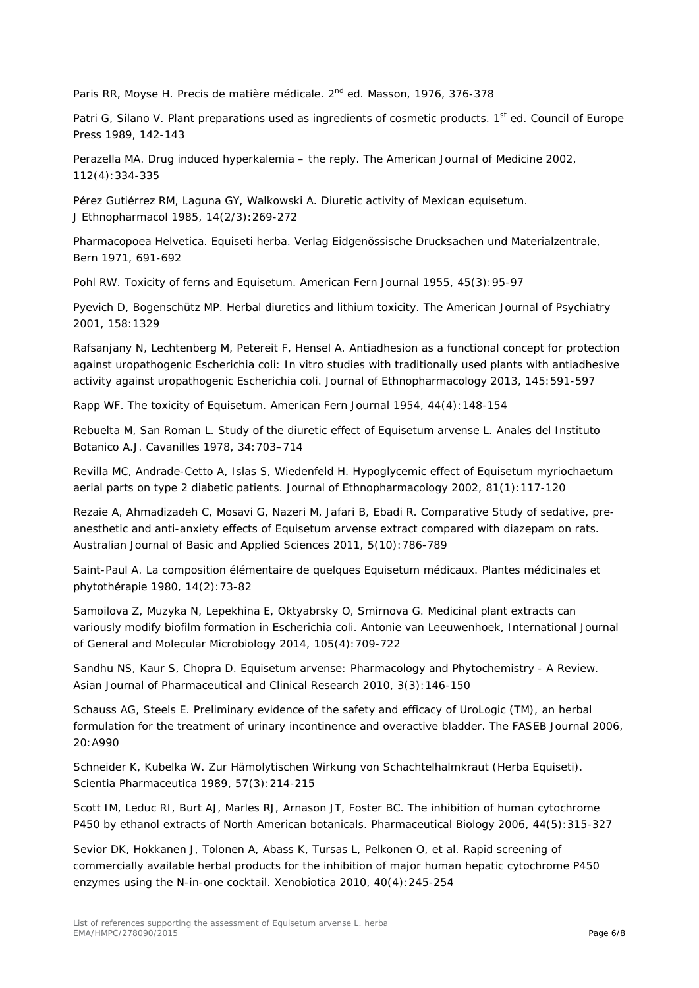Paris RR, Moyse H. Precis de matière médicale. 2<sup>nd</sup> ed. Masson, 1976, 376-378

Patri G, Silano V. Plant preparations used as ingredients of cosmetic products. 1<sup>st</sup> ed. Council of Europe Press 1989, 142-143

Perazella MA. Drug induced hyperkalemia – the reply. *The American Journal of Medicine* 2002, 112(4):334-335

Pérez Gutiérrez RM, Laguna GY, Walkowski A. Diuretic activity of Mexican equisetum. *J Ethnopharmacol* 1985, 14(2/3):269-272

Pharmacopoea Helvetica. Equiseti herba. Verlag Eidgenössische Drucksachen und Materialzentrale, Bern 1971, 691-692

Pohl RW. Toxicity of ferns and Equisetum. *American Fern Journal* 1955, 45(3):95-97

Pyevich D, Bogenschütz MP. Herbal diuretics and lithium toxicity. *The American Journal of Psychiatry* 2001, 158:1329

Rafsanjany N, Lechtenberg M, Petereit F, Hensel A. Antiadhesion as a functional concept for protection against uropathogenic *Escherichia coli*: In vitro studies with traditionally used plants with antiadhesive activity against uropathogenic *Escherichia coli*. *Journal of Ethnopharmacology* 2013, 145:591-597

Rapp WF. The toxicity of Equisetum. *American Fern Journal* 1954, 44(4):148-154

Rebuelta M, San Roman L. Study of the diuretic effect of *Equisetum arvense* L. *Anales del Instituto Botanico A.J. Cavanilles* 1978, 34:703–714

Revilla MC, Andrade-Cetto A, Islas S, Wiedenfeld H. Hypoglycemic effect of *Equisetum myriochaetum* aerial parts on type 2 diabetic patients. *Journal of Ethnopharmacology* 2002, 81(1):117-120

Rezaie A, Ahmadizadeh C, Mosavi G, Nazeri M, Jafari B, Ebadi R. Comparative Study of sedative, preanesthetic and anti-anxiety effects of *Equisetum arvense* extract compared with diazepam on rats. *Australian Journal of Basic and Applied Sciences* 2011, 5(10):786-789

Saint-Paul A. La composition élémentaire de quelques *Equisetum* médicaux*. Plantes médicinales et phytothérapie* 1980, 14(2):73-82

Samoilova Z, Muzyka N, Lepekhina E, Oktyabrsky O, Smirnova G. Medicinal plant extracts can variously modify biofilm formation in *Escherichia coli*. *Antonie van Leeuwenhoek*, *International Journal of General and Molecular Microbiology* 2014, 105(4):709-722

Sandhu NS, Kaur S, Chopra D. *Equisetum arvense*: Pharmacology and Phytochemistry - A Review. *Asian Journal of Pharmaceutical and Clinical Research* 2010, 3(3):146-150

Schauss AG, Steels E. Preliminary evidence of the safety and efficacy of UroLogic (TM), an herbal formulation for the treatment of urinary incontinence and overactive bladder. *The FASEB Journal* 2006*,*  20:A990

Schneider K, Kubelka W. Zur Hämolytischen Wirkung von Schachtelhalmkraut (Herba Equiseti). *Scientia Pharmaceutica* 1989, 57(3):214-215

Scott IM, Leduc RI, Burt AJ, Marles RJ, Arnason JT, Foster BC. The inhibition of human cytochrome P450 by ethanol extracts of North American botanicals. *Pharmaceutical Biology* 2006, 44(5):315-327

Sevior DK, Hokkanen J, Tolonen A, Abass K, Tursas L, Pelkonen O, *et al.* Rapid screening of commercially available herbal products for the inhibition of major human hepatic cytochrome P450 enzymes using the N-in-one cocktail. *Xenobiotica* 2010, 40(4):245-254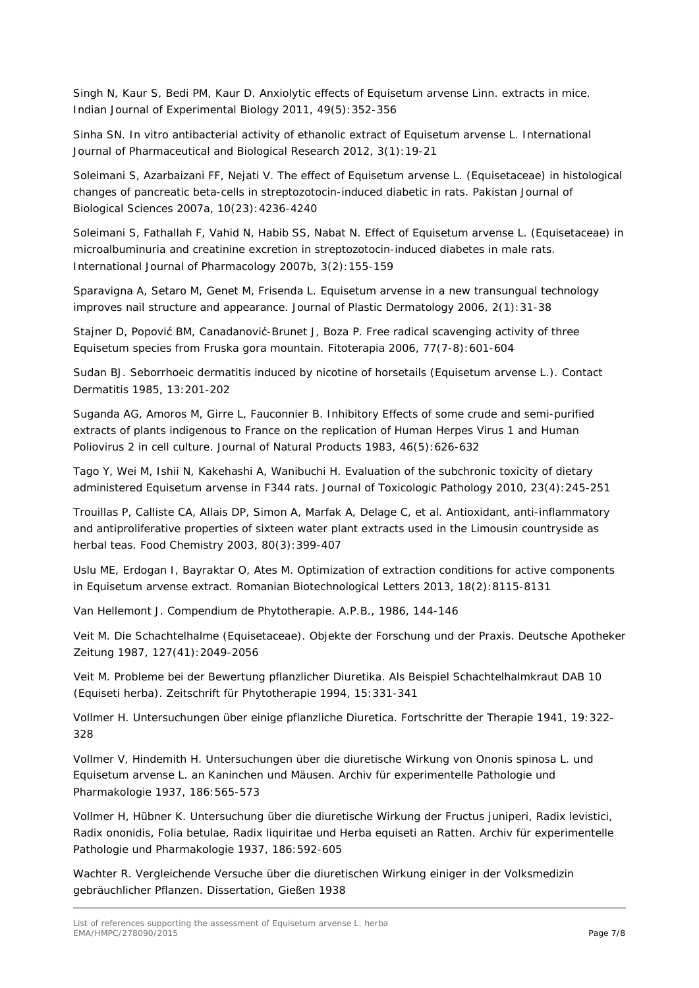Singh N, Kaur S, Bedi PM, Kaur D. Anxiolytic effects of *Equisetum arvense* Linn. extracts in mice. *Indian Journal of Experimental Biology* 2011, 49(5):352-356

Sinha SN. In vitro antibacterial activity of ethanolic extract of *Equisetum arvense* L. *International Journal of Pharmaceutical and Biological Research* 2012, 3(1):19-21

Soleimani S, Azarbaizani FF, Nejati V. The effect of *Equisetum arvense* L. (*Equisetaceae*) in histological changes of pancreatic beta-cells in streptozotocin-induced diabetic in rats. *Pakistan Journal of Biological Sciences* 2007a, 10(23):4236-4240

Soleimani S, Fathallah F, Vahid N, Habib SS, Nabat N. Effect of *Equisetum arvense* L. (*Equisetaceae*) in microalbuminuria and creatinine excretion in streptozotocin-induced diabetes in male rats. *International Journal of Pharmacology* 2007b, 3(2):155-159

Sparavigna A, Setaro M, Genet M, Frisenda L. *Equisetum arvense* in a new transungual technology improves nail structure and appearance. *Journal of Plastic Dermatology* 2006, 2(1):31-38

Stajner D, Popović BM, Canadanović-Brunet J, Boza P. Free radical scavenging activity of three *Equisetum* species from Fruska gora mountain. *Fitoterapia* 2006, 77(7-8):601-604

Sudan BJ. Seborrhoeic dermatitis induced by nicotine of horsetails (*Equisetum arvense* L.). *Contact Dermatitis* 1985, 13:201-202

Suganda AG, Amoros M, Girre L, Fauconnier B. Inhibitory Effects of some crude and semi-purified extracts of plants indigenous to France on the replication of Human Herpes Virus 1 and Human Poliovirus 2 in cell culture. *Journal of Natural Products* 1983, 46(5):626-632

Tago Y, Wei M, Ishii N, Kakehashi A, Wanibuchi H. Evaluation of the subchronic toxicity of dietary administered *Equisetum arvense* in F344 rats. *Journal of Toxicologic Pathology* 2010, 23(4):245-251

Trouillas P, Calliste CA, Allais DP, Simon A, Marfak A, Delage C, *et al.* Antioxidant, anti-inflammatory and antiproliferative properties of sixteen water plant extracts used in the Limousin countryside as herbal teas. *Food Chemistry* 2003, 80(3):399-407

Uslu ME, Erdogan I, Bayraktar O, Ates M. Optimization of extraction conditions for active components in *Equisetum arvense* extract. *Romanian Biotechnological Letters* 2013, 18(2):8115-8131

Van Hellemont J. Compendium de Phytotherapie. A.P.B., 1986, 144-146

Veit M. Die Schachtelhalme (*Equisetaceae*). Objekte der Forschung und der Praxis. *Deutsche Apotheker Zeitung* 1987, 127(41):2049-2056

Veit M. Probleme bei der Bewertung pflanzlicher Diuretika. Als Beispiel Schachtelhalmkraut DAB 10 (Equiseti herba). *Zeitschrift für Phytotherapie* 1994, 15:331-341

Vollmer H. Untersuchungen über einige pflanzliche Diuretica. *Fortschritte der Therapie* 1941, 19:322- 328

Vollmer V, Hindemith H. Untersuchungen über die diuretische Wirkung von Ononis spinosa L. und Equisetum arvense L. an Kaninchen und Mäusen. *Archiv für experimentelle Pathologie und Pharmakologie* 1937, 186:565-573

Vollmer H, Hübner K. Untersuchung über die diuretische Wirkung der Fructus juniperi, Radix levistici, Radix ononidis, Folia betulae, Radix liquiritae und Herba equiseti an Ratten*. Archiv für experimentelle Pathologie und Pharmakologie* 1937, 186:592-605

Wachter R. Vergleichende Versuche über die diuretischen Wirkung einiger in der Volksmedizin gebräuchlicher Pflanzen. Dissertation, Gießen 1938